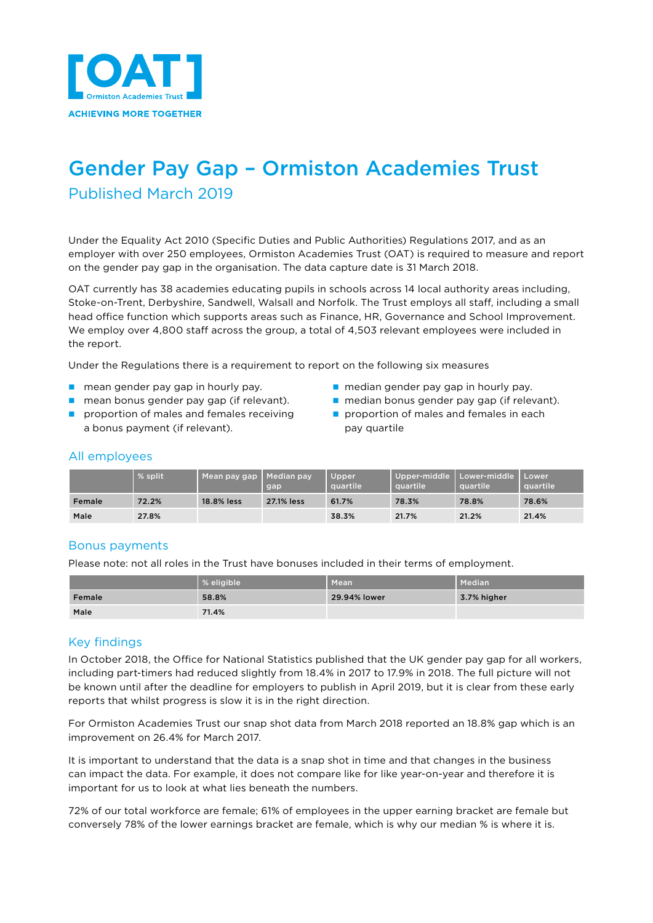

# Gender Pay Gap – Ormiston Academies Trust Published March 2019

Under the Equality Act 2010 (Specific Duties and Public Authorities) Regulations 2017, and as an employer with over 250 employees, Ormiston Academies Trust (OAT) is required to measure and report on the gender pay gap in the organisation. The data capture date is 31 March 2018.

OAT currently has 38 academies educating pupils in schools across 14 local authority areas including, Stoke-on-Trent, Derbyshire, Sandwell, Walsall and Norfolk. The Trust employs all staff, including a small head office function which supports areas such as Finance, HR, Governance and School Improvement. We employ over 4,800 staff across the group, a total of 4,503 relevant employees were included in the report.

Under the Regulations there is a requirement to report on the following six measures

- n mean gender pay gap in hourly pay. The median gender pay gap in hourly pay.
- 
- n proportion of males and females receiving  $\Box$  proportion of males and females in each a bonus payment (if relevant). pay quartile
- 
- n mean bonus gender pay gap (if relevant). nedian bonus gender pay gap (if relevant).
	-

# All employees

|        | % split. | Mean pay gap | Median pay<br>gap | Upper<br><b>A</b> quartile | auartile | Upper-middle   Lower-middle  <br>quartile | Lower<br>auartile |
|--------|----------|--------------|-------------------|----------------------------|----------|-------------------------------------------|-------------------|
| Female | 72.2%    | 18.8% less   | 27.1% less        | 61.7%                      | 78.3%    | 78.8%                                     | 78.6%             |
| Male   | 27.8%    |              |                   | 38.3%                      | 21.7%    | 21.2%                                     | 21.4%             |

### Bonus payments

Please note: not all roles in the Trust have bonuses included in their terms of employment.

|        | <b>1% eligible</b> | Mean         | Median      |
|--------|--------------------|--------------|-------------|
| Female | 58.8%              | 29.94% lower | 3.7% higher |
| Male   | 71.4%              |              |             |

## Key findings

In October 2018, the Office for National Statistics published that the UK gender pay gap for all workers, including part-timers had reduced slightly from 18.4% in 2017 to 17.9% in 2018. The full picture will not be known until after the deadline for employers to publish in April 2019, but it is clear from these early reports that whilst progress is slow it is in the right direction.

For Ormiston Academies Trust our snap shot data from March 2018 reported an 18.8% gap which is an improvement on 26.4% for March 2017.

It is important to understand that the data is a snap shot in time and that changes in the business can impact the data. For example, it does not compare like for like year-on-year and therefore it is important for us to look at what lies beneath the numbers.

72% of our total workforce are female; 61% of employees in the upper earning bracket are female but conversely 78% of the lower earnings bracket are female, which is why our median % is where it is.